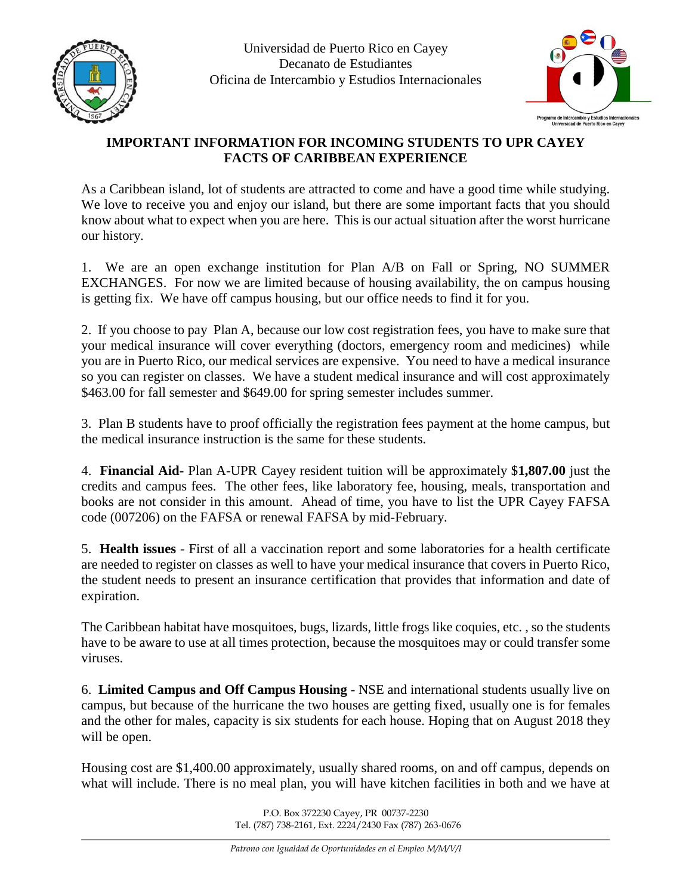



## **IMPORTANT INFORMATION FOR INCOMING STUDENTS TO UPR CAYEY FACTS OF CARIBBEAN EXPERIENCE**

As a Caribbean island, lot of students are attracted to come and have a good time while studying. We love to receive you and enjoy our island, but there are some important facts that you should know about what to expect when you are here. This is our actual situation after the worst hurricane our history.

1. We are an open exchange institution for Plan A/B on Fall or Spring, NO SUMMER EXCHANGES. For now we are limited because of housing availability, the on campus housing is getting fix. We have off campus housing, but our office needs to find it for you.

2. If you choose to pay Plan A, because our low cost registration fees, you have to make sure that your medical insurance will cover everything (doctors, emergency room and medicines) while you are in Puerto Rico, our medical services are expensive. You need to have a medical insurance so you can register on classes. We have a student medical insurance and will cost approximately \$463.00 for fall semester and \$649.00 for spring semester includes summer.

3. Plan B students have to proof officially the registration fees payment at the home campus, but the medical insurance instruction is the same for these students.

4. **Financial Aid-** Plan A-UPR Cayey resident tuition will be approximately \$**1,807.00** just the credits and campus fees. The other fees, like laboratory fee, housing, meals, transportation and books are not consider in this amount. Ahead of time, you have to list the UPR Cayey FAFSA code (007206) on the FAFSA or renewal FAFSA by mid-February.

5. **Health issues** - First of all a vaccination report and some laboratories for a health certificate are needed to register on classes as well to have your medical insurance that covers in Puerto Rico, the student needs to present an insurance certification that provides that information and date of expiration.

The Caribbean habitat have mosquitoes, bugs, lizards, little frogs like coquies, etc. , so the students have to be aware to use at all times protection, because the mosquitoes may or could transfer some viruses.

6. **Limited Campus and Off Campus Housing** - NSE and international students usually live on campus, but because of the hurricane the two houses are getting fixed, usually one is for females and the other for males, capacity is six students for each house. Hoping that on August 2018 they will be open.

Housing cost are \$1,400.00 approximately, usually shared rooms, on and off campus, depends on what will include. There is no meal plan, you will have kitchen facilities in both and we have at